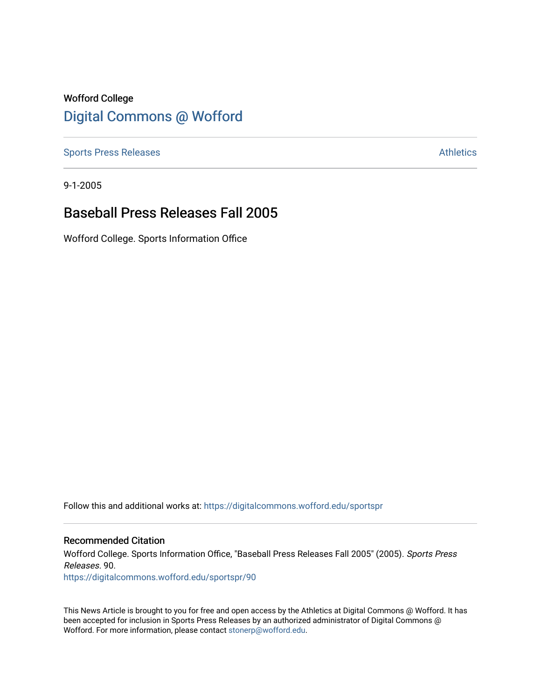## Wofford College [Digital Commons @ Wofford](https://digitalcommons.wofford.edu/)

[Sports Press Releases](https://digitalcommons.wofford.edu/sportspr) **Athletics** [Athletics](https://digitalcommons.wofford.edu/athletics) **Athletics** 

9-1-2005

## Baseball Press Releases Fall 2005

Wofford College. Sports Information Office

Follow this and additional works at: [https://digitalcommons.wofford.edu/sportspr](https://digitalcommons.wofford.edu/sportspr?utm_source=digitalcommons.wofford.edu%2Fsportspr%2F90&utm_medium=PDF&utm_campaign=PDFCoverPages)

## Recommended Citation

Wofford College. Sports Information Office, "Baseball Press Releases Fall 2005" (2005). Sports Press Releases. 90.

[https://digitalcommons.wofford.edu/sportspr/90](https://digitalcommons.wofford.edu/sportspr/90?utm_source=digitalcommons.wofford.edu%2Fsportspr%2F90&utm_medium=PDF&utm_campaign=PDFCoverPages) 

This News Article is brought to you for free and open access by the Athletics at Digital Commons @ Wofford. It has been accepted for inclusion in Sports Press Releases by an authorized administrator of Digital Commons @ Wofford. For more information, please contact [stonerp@wofford.edu.](mailto:stonerp@wofford.edu)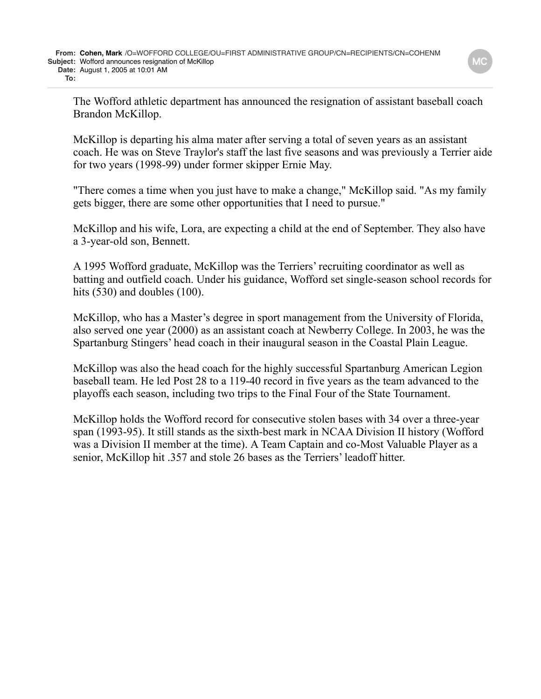The Wofford athletic department has announced the resignation of assistant baseball coach Brandon McKillop.

McKillop is departing his alma mater after serving a total of seven years as an assistant coach. He was on Steve Traylor's staff the last five seasons and was previously a Terrier aide for two years (1998-99) under former skipper Ernie May.

"There comes a time when you just have to make a change," McKillop said. "As my family gets bigger, there are some other opportunities that I need to pursue."

McKillop and his wife, Lora, are expecting a child at the end of September. They also have a 3-year-old son, Bennett.

A 1995 Wofford graduate, McKillop was the Terriers' recruiting coordinator as well as batting and outfield coach. Under his guidance, Wofford set single-season school records for hits (530) and doubles (100).

McKillop, who has a Master's degree in sport management from the University of Florida, also served one year (2000) as an assistant coach at Newberry College. In 2003, he was the Spartanburg Stingers' head coach in their inaugural season in the Coastal Plain League.

McKillop was also the head coach for the highly successful Spartanburg American Legion baseball team. He led Post 28 to a 119-40 record in five years as the team advanced to the playoffs each season, including two trips to the Final Four of the State Tournament.

McKillop holds the Wofford record for consecutive stolen bases with 34 over a three-year span (1993-95). It still stands as the sixth-best mark in NCAA Division II history (Wofford was a Division II member at the time). A Team Captain and co-Most Valuable Player as a senior, McKillop hit .357 and stole 26 bases as the Terriers' leadoff hitter.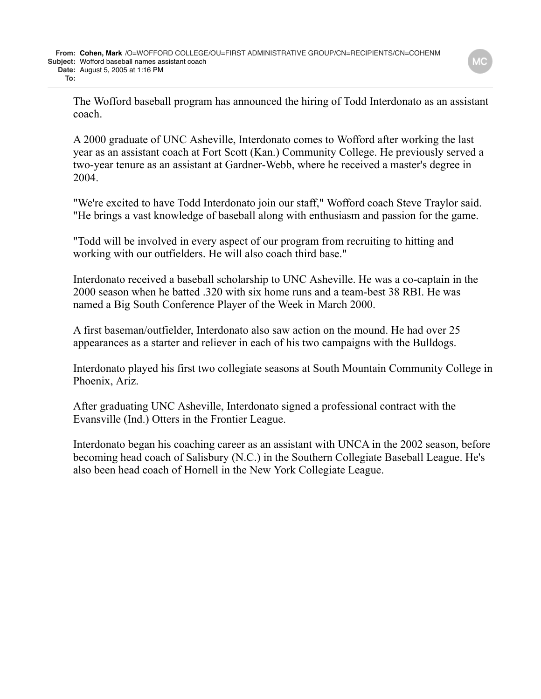The Wofford baseball program has announced the hiring of Todd Interdonato as an assistant coach.

A 2000 graduate of UNC Asheville, Interdonato comes to Wofford after working the last year as an assistant coach at Fort Scott (Kan.) Community College. He previously served a two-year tenure as an assistant at Gardner-Webb, where he received a master's degree in 2004.

"We're excited to have Todd Interdonato join our staff," Wofford coach Steve Traylor said. "He brings a vast knowledge of baseball along with enthusiasm and passion for the game.

"Todd will be involved in every aspect of our program from recruiting to hitting and working with our outfielders. He will also coach third base."

Interdonato received a baseball scholarship to UNC Asheville. He was a co-captain in the 2000 season when he batted .320 with six home runs and a team-best 38 RBI. He was named a Big South Conference Player of the Week in March 2000.

A first baseman/outfielder, Interdonato also saw action on the mound. He had over 25 appearances as a starter and reliever in each of his two campaigns with the Bulldogs.

Interdonato played his first two collegiate seasons at South Mountain Community College in Phoenix, Ariz.

After graduating UNC Asheville, Interdonato signed a professional contract with the Evansville (Ind.) Otters in the Frontier League.

Interdonato began his coaching career as an assistant with UNCA in the 2002 season, before becoming head coach of Salisbury (N.C.) in the Southern Collegiate Baseball League. He's also been head coach of Hornell in the New York Collegiate League.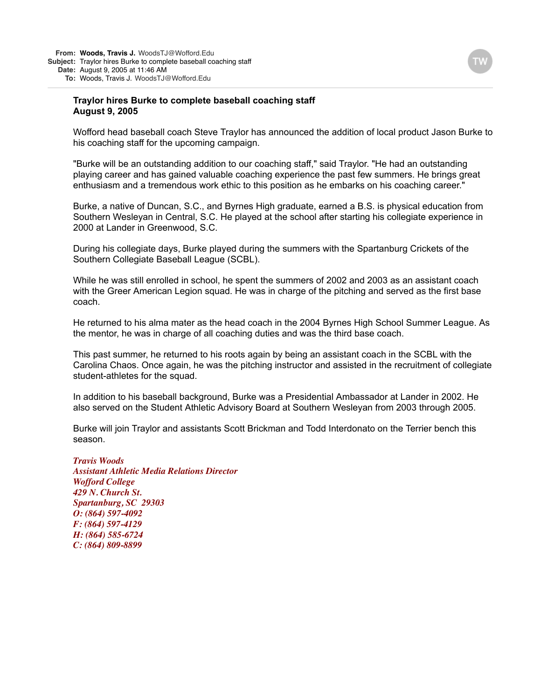## **Traylor hires Burke to complete baseball coaching staff August 9, 2005**

Wofford head baseball coach Steve Traylor has announced the addition of local product Jason Burke to his coaching staff for the upcoming campaign.

"Burke will be an outstanding addition to our coaching staff," said Traylor. "He had an outstanding playing career and has gained valuable coaching experience the past few summers. He brings great enthusiasm and a tremendous work ethic to this position as he embarks on his coaching career."

Burke, a native of Duncan, S.C., and Byrnes High graduate, earned a B.S. is physical education from Southern Wesleyan in Central, S.C. He played at the school after starting his collegiate experience in 2000 at Lander in Greenwood, S.C.

During his collegiate days, Burke played during the summers with the Spartanburg Crickets of the Southern Collegiate Baseball League (SCBL).

While he was still enrolled in school, he spent the summers of 2002 and 2003 as an assistant coach with the Greer American Legion squad. He was in charge of the pitching and served as the first base coach.

He returned to his alma mater as the head coach in the 2004 Byrnes High School Summer League. As the mentor, he was in charge of all coaching duties and was the third base coach.

This past summer, he returned to his roots again by being an assistant coach in the SCBL with the Carolina Chaos. Once again, he was the pitching instructor and assisted in the recruitment of collegiate student-athletes for the squad.

In addition to his baseball background, Burke was a Presidential Ambassador at Lander in 2002. He also served on the Student Athletic Advisory Board at Southern Wesleyan from 2003 through 2005.

Burke will join Traylor and assistants Scott Brickman and Todd Interdonato on the Terrier bench this season.

*Travis Woods Assistant Athletic Media Relations Director Wofford College 429 N. Church St. Spartanburg, SC 29303 O: (864) 597-4092 F: (864) 597-4129 H: (864) 585-6724 C: (864) 809-8899*